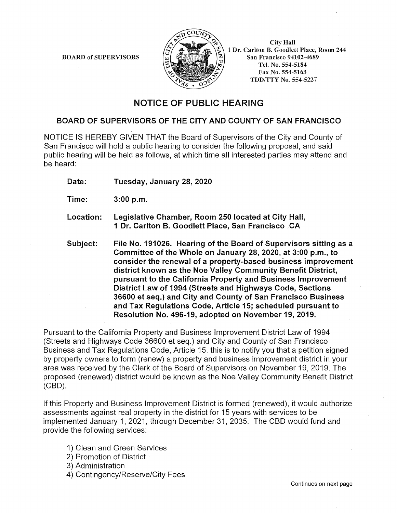

City Hall 1 Dr. Carlton B. Goodlett Place, Room 244 San Francisco 94102-4689 Tel. No. 554-5184 Fax No. 554-5163 TDD/TTY No. 554-5227

# NOTICE OF PUBLIC HEARING

### BOARD OF SUPERVISORS OF THE CITY AND COUNTY OF SAN FRANCISCO

NOTICE IS HEREBY GIVEN THAT the Board of Supervisors of the City and County of San Francisco will hold a public hearing to consider the following proposal, and said public hearing will be held as follows, at which time all interested parties may attend and be heard:

Date: Tuesday, January 28, 2020

Time: 3:00 p.m.

- Location: Legislative Chamber, Room 250 located at City Hall, 1 Dr. Carlton B. Goodlett Place, San Francisco CA
- Subject: File No. 191026. Hearing of the Board of Supervisors sitting as a Committee of the Whole on January 28, 2020, at 3:00 p.m., to consider the renewal of a property-based business improvement district known as the Noe Valley Community Benefit District, pursuant to the California Property and Business Improvement District Law of 1994 (Streets and Highways Code, Sections 36600 et seq.) and City and County of San Francisco Business and Tax Regulations Code, Article 15; scheduled pursuant to Resolution No. 496-19, adopted on November 19, 2019.

Pursuant to the California Property and Business Improvement District Law of 1994 (Streets and Highways Code 36600 et seq.) and City and County of San Francisco Business and Tax Regulations Code, Article 15, this is to notify you that a petition signed by property owners to form (renew) a property and business improvement district in your area was received by the Clerk of the Board of Supervisors on November 19, 2019. The proposed (renewed) district would be known as the Noe Valley Community Benefit District (CBD).

If this Property and Business Improvement District is formed (renewed), it would authorize assessments against real property in the district for 15 years with services to be implemented January 1, 2021, through December 31, 2035. The CBD would fund and provide the following services:

- 1) Clean and Green Services
- 2) Promotion of District
- 3) Administration
- 4) Contingency/Reserve/City Fees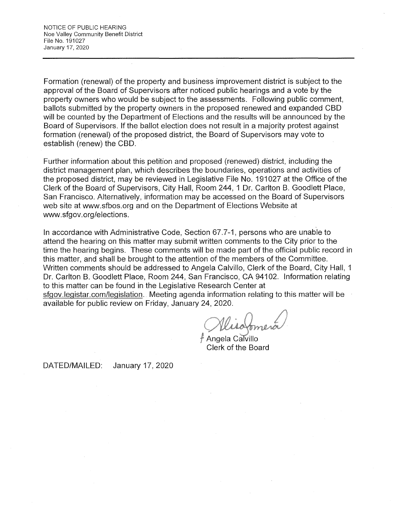Formation (renewal) of the property and business improvement district is subject to the approval of the Board of Supervisors after noticed public hearings and a vote by the property owners who would be subject to the assessments. Following public comment, ballots submitted by the property owners in the proposed renewed and expanded CBD will be counted by the Department of Elections and the results will be announced by the Board of Supervisors. If the ballot election does not result in a majority protest against formation (renewal) of the proposed district, the Board of Supervisors may vote to establish (renew) the CBD.

Further information about this petition and proposed (renewed) district, including the district management plan, which describes the boundaries, operations and activities of the proposed district, may be reviewed in Legislative File No. 191027 at the Office of the Clerk of the Board of Supervisors, City Hall, Room 244, 1 Dr. Carlton B. Goodlett Place, San Francisco. Alternatively, information may be accessed on the Board of Supervisors web site at www.sfbos.org and on the Department of Elections Website at www.sfgov.org/elections.

In accordance with Administrative Code, Section 67.7-1, persons who are unable to attend the hearing on this matter may submit written comments to the City prior to the time the hearing begins. These comments will be made part of the official public record in this matter, and shall be brought to the attention of the members of the Committee. Written comments should be addressed to Angela Calvillo, Clerk of the Board, City Hall, 1 Dr. Carlton B. Goodlett Place, Room 244, San Francisco, CA 94102. Information relating to this matter can be found in the Legislative Research Center at

sfgov.legistar.com/legislation. Meeting agenda information relating to this matter will be available for public review on Friday, January 24, 2020.

Angela Calvillo Clerk of the Board

DATED/MAILED: January 17, 2020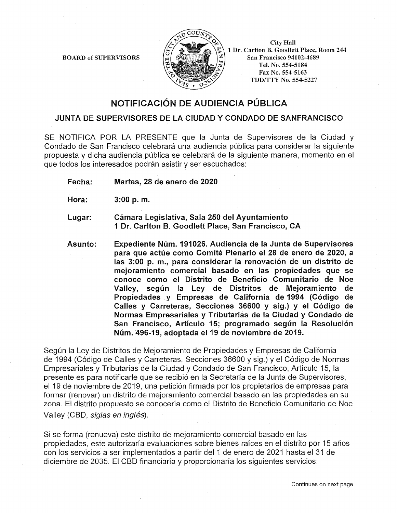

City Hall 1 Dr. Carlton B. Goodlett Place, Room 244 San Francisco 94102-4689 Tel. No. 554-5184 Fax No. 554-5163 TDD/TTY No. 554-5227

# NOTIFICACION DE AUDIENCIA PUBLICA

### JUNTA DE SUPERVISORES DE LA CIUDAD Y CONDADO DE SANFRANCISCO

SE NOTIFICA POR LA PRESENTE que la Junta de Supervisores de la Ciudad y Condado de San Francisco celebrará una audiencia pública para considerar la siguiente propuesta y dicha audiencia pública se celebrará de la siguiente manera, momento en el que todos los interesados podrán asistir y ser escuchados:

Fecha: Martes, 28 de enero de 2020

Hora: 3:00 p. m.

Lugar: Camara Legislativa, Sala 250 del Ayuntamiento 1 Dr. Carlton 8. Goodlett Place, San Francisco, CA

Asunto: Expediente Núm. 191026. Audiencia de la Junta de Supervisores para que actúe como Comité Plenario el 28 de enero de 2020, a las 3:00 p. m., para considerar la renovación de un distrito de mejoramiento comercial basado en las propiedades que se conoce como el Distrito de Beneficio Comunitario de Noe Valley, según la Ley de Distritos de Mejoramiento de Propiedades y Empresas de California de 1994 (C6digo de Calles y Carreteras, Secciones 36600 y sig.) y el C6digo de Normas Empresariales y Tributarias de la Ciudad y Condado de San Francisco, Artículo 15; programado según la Resolución Núm. 496-19, adoptada el 19 de noviembre de 2019.

Según la Ley de Distritos de Mejoramiento de Propiedades y Empresas de California de 1994 (C6digo de Calles y Carreteras, Secciones 36600 y sig.) y el C6digo de Normas Empresariales y Tributarias de la Ciudad y Condado de San Francisco, Artículo 15, la presente es para notificarle que se recibi6 en la Secretarfa de la Junta de Supervisores, el 19 de noviembre de 2019, una petición firmada por los propietarios de empresas para formar (renovar) un distrito de mejoramiento comercial basado en las propiedades en su zona. El distrito propuesto se conocería como el Distrito de Beneficio Comunitario de Noe Valley (CBD, siglas en inglés).

Si se forma (renueva) este distrito de mejoramiento comercial basado en las propiedades, este autorizarfa evaluaciones sabre bienes rafces en el distrito por 15 afios con los servicios a ser implementados a partir del 1 de enero de 2021 hasta el 31 de diciembre de 2035. El CBD financiaría y proporcionaría los siguientes servicios: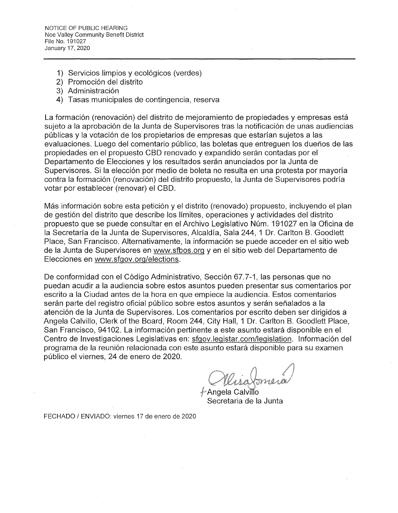- 1) Servicios limpios y ecológicos (verdes)
- 2) Promoción del distrito
- 3) Administración
- 4) Tasas municipales de contingencia, reserva

La formaci6n (renovaci6n) del distrito de mejoramiento de propiedades y empresas esta sujeto a la aprobación de la Junta de Supervisores tras la notificación de unas audiencias públicas y la votación de los propietarios de empresas que estarían sujetos a las evaluaciones. Luego del comentario público, las boletas que entreguen los dueños de las propiedades en el propuesto CBD renovado y expandido serán contadas por el Departamento de Elecciones y los resultados serán anunciados por la Junta de Supervisores. Si la elección por medio de boleta no resulta en una protesta por mayoría contra la formación (renovación) del distrito propuesto, la Junta de Supervisores podría votar por establecer (renovar) el CBD.

Más información sobre esta petición y el distrito (renovado) propuesto, incluyendo el plan de gestión del distrito que describe los límites, operaciones y actividades del distrito propuesto que se puede consultar en el Archivo Legislativo Num. 191027 en la Oficina de la Secretaría de la Junta de Supervisores, Alcaldía, Sala 244, 1 Dr. Carlton B. Goodlett Place, San Francisco. Alternativamente, la información se puede acceder en el sitio web de la Junta de Supervisores en www.sfbos.org y en el sitio web del Departamento de Elecciones en www.sfgov.org/elections.

De conformidad con el Código Administrativo, Sección 67.7-1, las personas que no puedan acudir a la audiencia sobre estos asuntos pueden presentar sus comentarios por escrito a la Ciudad antes de la hora en que empiece la audiencia. Estos comentarios serán parte del registro oficial público sobre estos asuntos y serán señalados a la atención de la Junta de Supervisores. Los comentarios por escrito deben ser dirigidos a Angela Calvillo, Clerk of the Board, Room 244, City Hall, 1 Dr. Carlton B. Goodlett Place, San Francisco, 94102. La información pertinente a este asunto estará disponible en el Centro de Investigaciones Legislativas en: sfgov.legistar.com/legislation. Información del programa de la reunión relacionada con este asunto estará disponible para su examen publico el viernes, 24 de enero de 2020.

Angela Calvillo Secretaria de la Junta

FECHADO / ENVIADO: viernes 17 de enero de 2020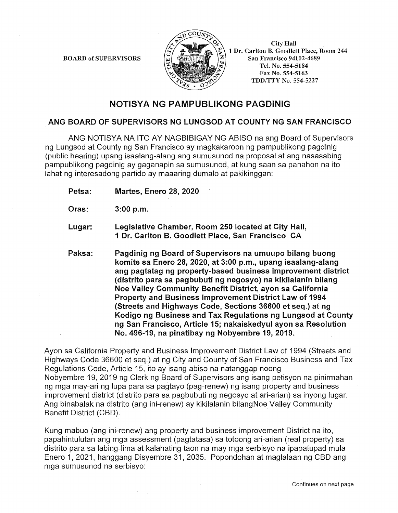

City Hall 1 Dr. Carlton B. Goodlett Place, Room 244 San Francisco 94102-4689 Tel. No. 554-5184 Fax No. 554-5163 TDD/TTY No. 554-5227

## NOTISYA NG PAMPUBLIKONG PAGDINIG

### ANG BOARD OF SUPERVISORS NG LUNGSOD AT COUNTY NG SAN FRANCISCO

ANG NOTISYA NA ITO AY NAGBIBIGAY NG ABISO na ang Board of Supervisors ng Lungsod at County ng San Francisco ay magkakaroon ng pampublikong pagdinig (public hearing) upang isaalang-alang ang sumusunod na proposal at ang nasasabing pampublikong pagdinig ay gaganapin sa sumusunod, at kung saan sa panahon na ito lahat ng interesadong partido ay maaaring dumalo at pakikinggan:

Petsa: Martes, Enero 28, 2020

- Oras: 3:00 p.m.
- Lugar: Legislative Chamber, Room 250 located at City Hall, 1 Dr. Carlton B. Goodlett Place, San Francisco CA
- Paksa: Pagdinig ng Board of Supervisors na umuupo bilang buong komite sa Enero 28, 2020, at 3:00 p.m., upang isaalang-alang ang pagtatag ng property-based business improvement district (distrito para sa pagbubuti ng negosyo) na kikilalanin bilang Noe Valley Community Benefit District, ayon sa California Property and Business Improvement District Law of 1994 (Streets and Highways Code, Sections 36600 et seq.) at ng Kodigo ng Business and Tax Regulations ng Lungsod at County ng San Francisco, Article 15; nakaiskedyul ayon sa Resolution No. 496-19, na pinatibay ng Nobyembre 19, 2019.

Ayon sa California Property and Business Improvement District Law of 1994 (Streets and Highways Code 36600 et seq.) at ng City and County of San Francisco Business and Tax Regulations Code, Article 15, ito ay isang abiso na natanggap noong Nobyembre 19, 2019 ng Clerk ng Board of Supervisors ang isang petisyon na pinirmahan ng mga may-ari ng lupa para sa pagtayo (pag-renew) ng isang property and business improvement district (distrito para sa pagbubuti ng negosyo at ari-arian) sa inyong lugar. Ang binabalak na distrito (ang ini-renew) ay kikilalanin bilangNoe Valley Community Benefit District (CBD).

Kung mabuo (ang ini-renew) ang property and business improvement District na ito, papahintulutan ang mga assessment (pagtatasa) sa totoong ari-arian (real property) sa distrito para sa labing-lima at kalahating taon na may mga serbisyo na ipapatupad mula Enero 1, 2021, hanggang Disyembre 31, 2035. Popondohan at maglalaan ng CBD ang mga sumusunod na serbisyo: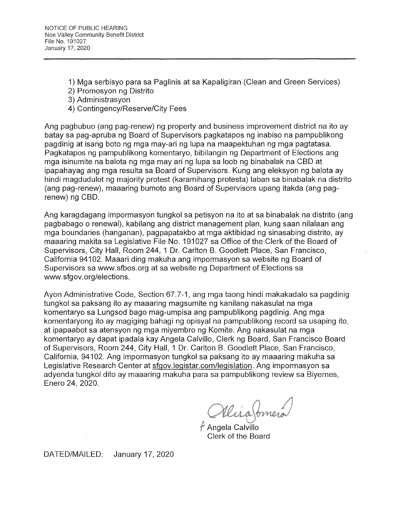- 1) Mga serbisyo para sa Paglinis at sa Kapaligiran (Clean and Green Services)
- 2) Promosyon ng Distrito
- 3) Administrasyon
- 4) Contingency/Reserve/City Fees

Ang pagbubuo (ang pag-renew) ng property and business improvement district na ito ay batay sa pag-apruba ng Board of Supervisors pagkatapos ng inabiso na pampublikong pagdinig at isang boto ng mga may-ari ng lupa na maapektuhan ng mga pagtatasa. Pagkatapos ng pampublikong komentaryo, bibilangin ng Department of Elections ang mga isinumite na balota ng mga may ari ng lupa sa loob ng binabalak na CBD at ipapahayag ang mga resulta sa Board of Supervisors. Kung ang eleksyon ng balota ay hindi magdudulot ng majority protest (karamihang protesta) laban sa binabalak na distrito (ang pag-renew), maaaring bumoto ang Board of Supervisors upang itakda (ang pagrenew) ng CBD.

Ang karagdagang impormasyon tungkol sa petisyon na ito at sa binabalak na distrito (ang pagbabago o renewal), kabilang ang district management plan, kung saan nilalaan ang mga boundaries (hanganan), pagpapatakbo at mga aktibidad ng sinasabing distrito, ay maaaring makita sa Legislative File No. 191027 sa Office of the Clerk of the Board of Supervisors, City Hall, Room 244, 1 Dr. Carlton B. Goodlett Place, San Francisco, California 94102. Maaari ding makuha ang impormasyon sa website ng Board of Supervisors sa www.sfbos.org at sa website ng Department of Elections sa www.sfgov.org/elections.

Ayon Administrative Code, Section 67.7-1, ang mga taong hindi makakadalo sa pagdinig tungkol sa paksang ito ay maaaring magsumite ng kanilang nakasulat na mga komentaryo sa Lungsod bago mag-umpisa ang pampublikong pagdinig. Ang mga komentaryong ito ay magiging bahagi ng opisyal na pampublikong record sa usaping ito, at ipapaabot sa atensyon ng mga miyembro ng Komite. Ang nakasulat na mga komentaryo ay dapat ipadala kay Angela Calvillo, Clerk ng Board, San Francisco Board of Supervisors, Room 244, City Hall, 1 Dr. Carlton B. Goodlett Place, San Francisco, California, 94102. Ang impormasyon tungkol sa paksang ito ay maaaring makuha sa Legislative Research Center at sfgov.legistar.com/legislation. Ang impormasyon sa adyenda tungkol dito ay maaaring makuha para sa pampublikong review sa Biyernes, Enero 24, 2020.

Wisaforne

Angela Calvillo Clerk of the Board

DATED/MAILED: January 17, 2020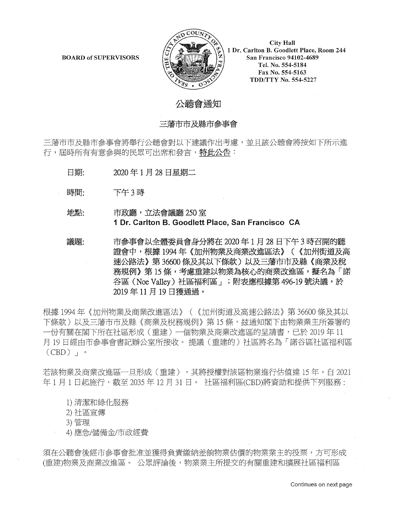

**City Hall** 1 Dr. Carlton B. Goodlett Place, Room 244 San Francisco 94102-4689 Tel. No. 554-5184 Fax No. 554-5163 TDD/TTY No. 554-5227

## 公聼會涌知

#### 三藩市市及縣市參事會

三藩市市及縣市參事會將舉行公聼會對以下建議作出考慮,並且該公聽會將按如下所示進 行, 屆時所有有意參與的民眾可出席和發言, 特此公告:

- 日期: 2020年1月28日星期二
- 時間: 下午3時

### 地點: 市政廳, 立法會議廳 250 室 **1 Dr. Carlton B. Goodlett Place, San Francisco CA**

議題: 市參事會以全體委員會身分將在 2020年1月 28 日下午3 時召開的聽 證會中,根據1994年《加州物業及商業改進區法》(《加州街道及高 速公路法》第36600 條及其以下條款) 以及三藩市市及縣《商業及稅 務規例》第15條,考慮重建以物業為核心的商業改進區,擬名為「諾 谷區 (Noe Valley) 社區福利區」; 附表應根據第 496-19 號決議, 於 2019年11月19日獲通過。

根據 1994 年《加州物業及商業改進區法》(《加州街道及高速公路法》第 36600 條及其以 下條款)以及三藩市市及縣《商業及稅務規例》第15條,玆通知閣下由物業業主所簽署的 一份有關在閣下所在社區形成(重建)一個物業及商業改進區的呈請書,已於 2019 年 11 月 19 日經由市參事會書記辦公室所接收。 提議(重建的)社區將名為「諾谷區社區福利區  $(CBD)$   $\cdot$   $\cdot$ 

若該物業及商業改進區一旦形成(重建),其將授權對該區物業進行估值達 15年,自 2021 年1月1日起施行,截至 2035 年 12 月 31 日。 社區福利區(CBD)將資助和提供下列服務:

- 1) 清潔和綠化服務
- 2) 社區宣傳
- 3) 管理
- 4) 應急/儲備金/市政經費

須在公聽會後經市參事會批准並獲得負責繳納差餉物業估價的物業業主的投票,方可形成 (重建)物業及商業改進區。 公眾評論後,物業業主所提交的有關重建和擴展社區福利區